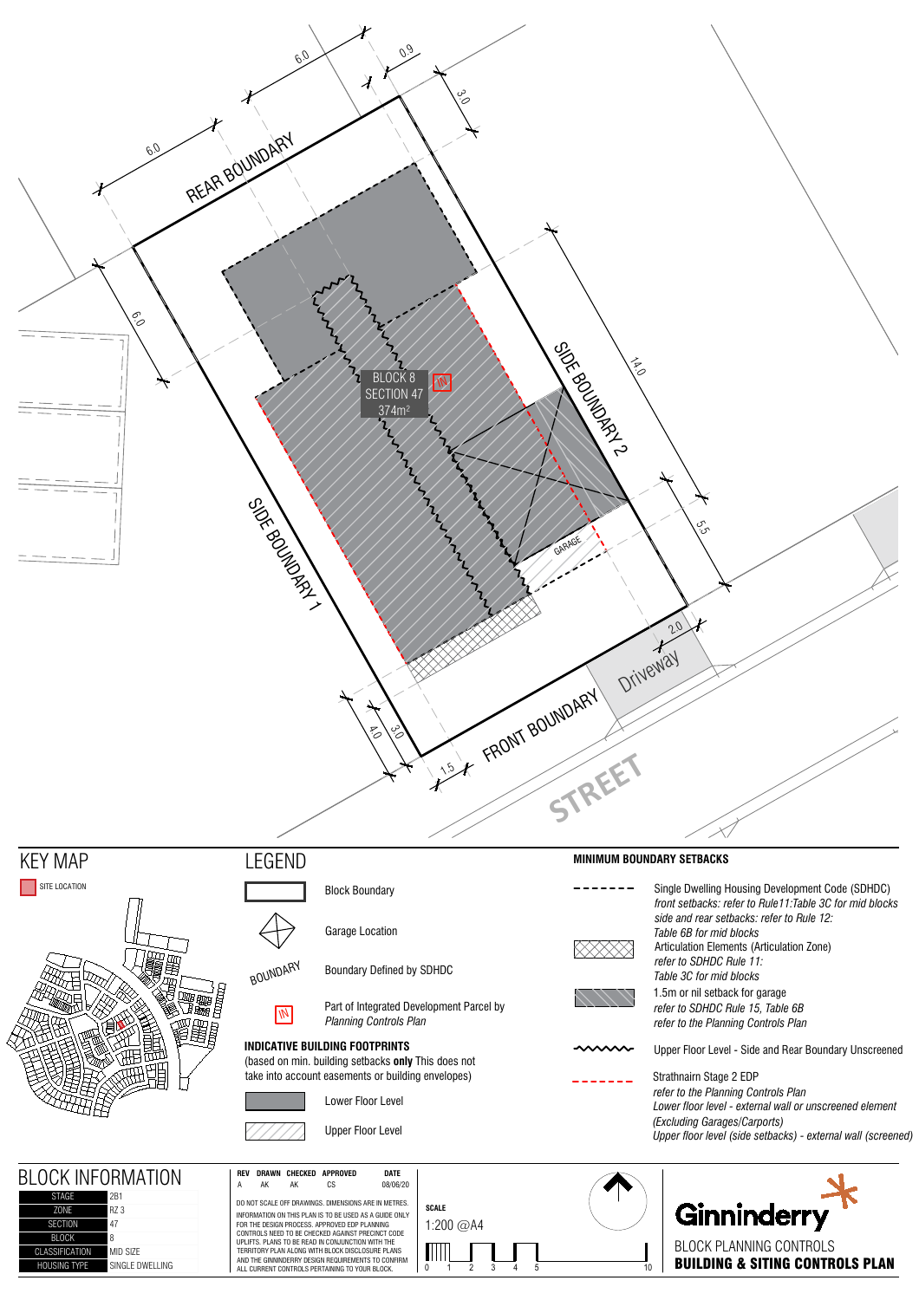